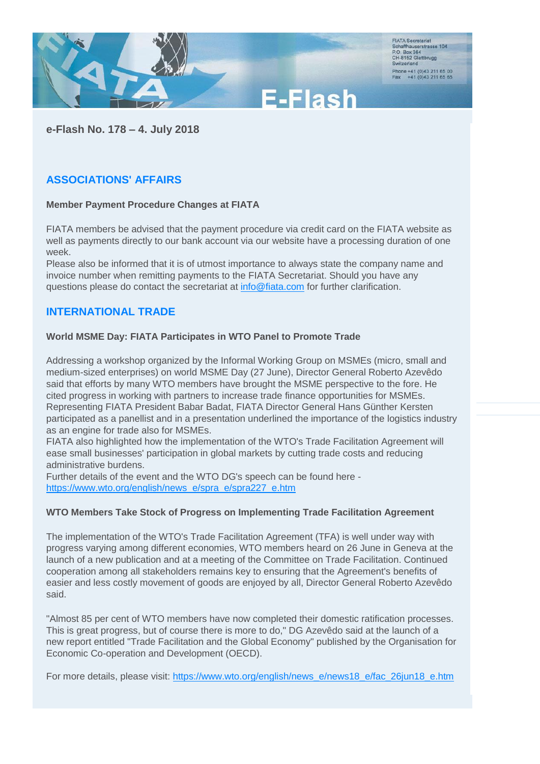

**e-Flash No. 178 – 4. July 2018**

# **ASSOCIATIONS' AFFAIRS**

#### **Member Payment Procedure Changes at FIATA**

FIATA members be advised that the payment procedure via credit card on the FIATA website as well as payments directly to our bank account via our website have a processing duration of one week.

Please also be informed that it is of utmost importance to always state the company name and invoice number when remitting payments to the FIATA Secretariat. Should you have any questions please do contact the secretariat at [info@fiata.com](mailto:info@fiata.com) for further clarification.

# **INTERNATIONAL TRADE**

#### **World MSME Day: FIATA Participates in WTO Panel to Promote Trade**

Addressing a workshop organized by the Informal Working Group on MSMEs (micro, small and medium-sized enterprises) on world MSME Day (27 June), Director General Roberto Azevêdo said that efforts by many WTO members have brought the MSME perspective to the fore. He cited progress in working with partners to increase trade finance opportunities for MSMEs. Representing FIATA President Babar Badat, FIATA Director General Hans Günther Kersten participated as a panellist and in a presentation underlined the importance of the logistics industry as an engine for trade also for MSMEs.

FIATA also highlighted how the implementation of the WTO's Trade Facilitation Agreement will ease small businesses' participation in global markets by cutting trade costs and reducing administrative burdens.

Further details of the event and the WTO DG's speech can be found here [https://www.wto.org/english/news\\_e/spra\\_e/spra227\\_e.htm](https://www.wto.org/english/news_e/spra_e/spra227_e.htm)

#### **WTO Members Take Stock of Progress on Implementing Trade Facilitation Agreement**

The implementation of the WTO's Trade Facilitation Agreement (TFA) is well under way with progress varying among different economies, WTO members heard on 26 June in Geneva at the launch of a new publication and at a meeting of the Committee on Trade Facilitation. Continued cooperation among all stakeholders remains key to ensuring that the Agreement's benefits of easier and less costly movement of goods are enjoyed by all, Director General Roberto Azevêdo said.

"Almost 85 per cent of WTO members have now completed their domestic ratification processes. This is great progress, but of course there is more to do," DG Azevêdo said at the launch of a new report entitled "Trade Facilitation and the Global Economy" published by the Organisation for Economic Co-operation and Development (OECD).

For more details, please visit: [https://www.wto.org/english/news\\_e/news18\\_e/fac\\_26jun18\\_e.htm](https://www.wto.org/english/news_e/news18_e/fac_26jun18_e.htm)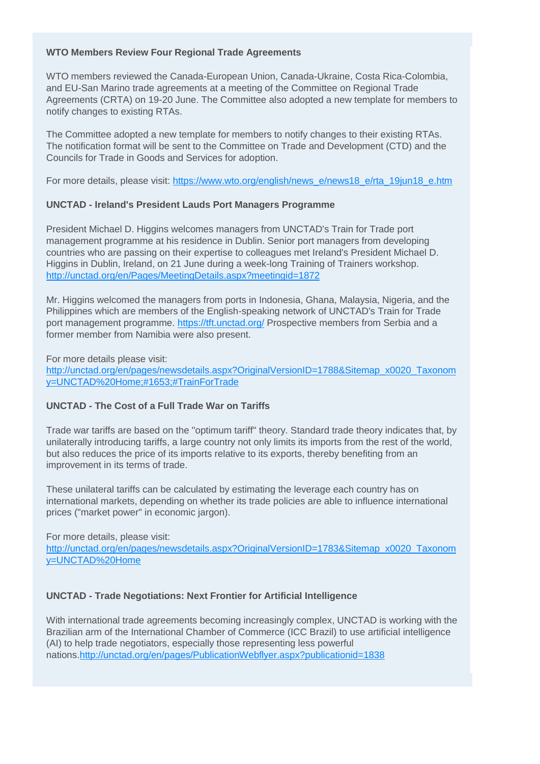### **WTO Members Review Four Regional Trade Agreements**

WTO members reviewed the Canada-European Union, Canada-Ukraine, Costa Rica-Colombia, and EU-San Marino trade agreements at a meeting of the Committee on Regional Trade Agreements (CRTA) on 19-20 June. The Committee also adopted a new template for members to notify changes to existing RTAs.

The Committee adopted a new template for members to notify changes to their existing RTAs. The notification format will be sent to the Committee on Trade and Development (CTD) and the Councils for Trade in Goods and Services for adoption.

For more details, please visit: [https://www.wto.org/english/news\\_e/news18\\_e/rta\\_19jun18\\_e.htm](https://www.wto.org/english/news_e/news18_e/rta_19jun18_e.htm)

### **UNCTAD - Ireland's President Lauds Port Managers Programme**

President Michael D. Higgins welcomes managers from UNCTAD's Train for Trade port management programme at his residence in Dublin. Senior port managers from developing countries who are passing on their expertise to colleagues met Ireland's President Michael D. Higgins in Dublin, Ireland, on 21 June during a week-long Training of Trainers workshop. <http://unctad.org/en/Pages/MeetingDetails.aspx?meetingid=1872>

Mr. Higgins welcomed the managers from ports in Indonesia, Ghana, Malaysia, Nigeria, and the Philippines which are members of the English-speaking network of UNCTAD's Train for Trade port management programme.<https://tft.unctad.org/> Prospective members from Serbia and a former member from Namibia were also present.

For more details please visit:

[http://unctad.org/en/pages/newsdetails.aspx?OriginalVersionID=1788&Sitemap\\_x0020\\_Taxonom](http://unctad.org/en/pages/newsdetails.aspx?OriginalVersionID=1788&Sitemap_x0020_Taxonomy=UNCTAD%20Home;#1653;#TrainForTrade) [y=UNCTAD%20Home;#1653;#TrainForTrade](http://unctad.org/en/pages/newsdetails.aspx?OriginalVersionID=1788&Sitemap_x0020_Taxonomy=UNCTAD%20Home;#1653;#TrainForTrade)

# **UNCTAD - The Cost of a Full Trade War on Tariffs**

Trade war tariffs are based on the "optimum tariff" theory. Standard trade theory indicates that, by unilaterally introducing tariffs, a large country not only limits its imports from the rest of the world, but also reduces the price of its imports relative to its exports, thereby benefiting from an improvement in its terms of trade.

These unilateral tariffs can be calculated by estimating the leverage each country has on international markets, depending on whether its trade policies are able to influence international prices ("market power" in economic jargon).

For more details, please visit:

[http://unctad.org/en/pages/newsdetails.aspx?OriginalVersionID=1783&Sitemap\\_x0020\\_Taxonom](http://unctad.org/en/pages/newsdetails.aspx?OriginalVersionID=1783&Sitemap_x0020_Taxonomy=UNCTAD%20Home) [y=UNCTAD%20Home](http://unctad.org/en/pages/newsdetails.aspx?OriginalVersionID=1783&Sitemap_x0020_Taxonomy=UNCTAD%20Home)

#### **UNCTAD - Trade Negotiations: Next Frontier for Artificial Intelligence**

With international trade agreements becoming increasingly complex, UNCTAD is working with the Brazilian arm of the International Chamber of Commerce (ICC Brazil) to use artificial intelligence (AI) to help trade negotiators, especially those representing less powerful nations.http://unctad.org/en/pages/PublicationWebflyer.aspx?publicationid=1838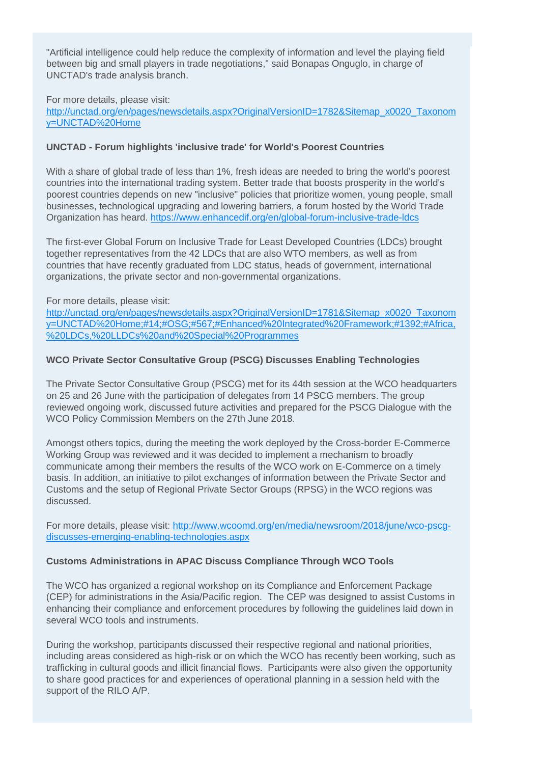"Artificial intelligence could help reduce the complexity of information and level the playing field between big and small players in trade negotiations," said Bonapas Onguglo, in charge of UNCTAD's trade analysis branch.

For more details, please visit:

[http://unctad.org/en/pages/newsdetails.aspx?OriginalVersionID=1782&Sitemap\\_x0020\\_Taxonom](http://unctad.org/en/pages/newsdetails.aspx?OriginalVersionID=1782&Sitemap_x0020_Taxonomy=UNCTAD%20Home) [y=UNCTAD%20Home](http://unctad.org/en/pages/newsdetails.aspx?OriginalVersionID=1782&Sitemap_x0020_Taxonomy=UNCTAD%20Home)

### **UNCTAD - Forum highlights 'inclusive trade' for World's Poorest Countries**

With a share of global trade of less than 1%, fresh ideas are needed to bring the world's poorest countries into the international trading system. Better trade that boosts prosperity in the world's poorest countries depends on new "inclusive" policies that prioritize women, young people, small businesses, technological upgrading and lowering barriers, a forum hosted by the World Trade Organization has heard. <https://www.enhancedif.org/en/global-forum-inclusive-trade-ldcs>

The first-ever Global Forum on Inclusive Trade for Least Developed Countries (LDCs) brought together representatives from the 42 LDCs that are also WTO members, as well as from countries that have recently graduated from LDC status, heads of government, international organizations, the private sector and non-governmental organizations.

### For more details, please visit:

[http://unctad.org/en/pages/newsdetails.aspx?OriginalVersionID=1781&Sitemap\\_x0020\\_Taxonom](http://unctad.org/en/pages/newsdetails.aspx?OriginalVersionID=1781&Sitemap_x0020_Taxonomy=UNCTAD%20Home;#14;#OSG;#567;#Enhanced Integrated Framework;#1392;#Africa, LDCs, LLDCs and Special Programmes) [y=UNCTAD%20Home;#14;#OSG;#567;#Enhanced%20Integrated%20Framework;#1392;#Africa,](http://unctad.org/en/pages/newsdetails.aspx?OriginalVersionID=1781&Sitemap_x0020_Taxonomy=UNCTAD%20Home;#14;#OSG;#567;#Enhanced Integrated Framework;#1392;#Africa, LDCs, LLDCs and Special Programmes) [%20LDCs,%20LLDCs%20and%20Special%20Programmes](http://unctad.org/en/pages/newsdetails.aspx?OriginalVersionID=1781&Sitemap_x0020_Taxonomy=UNCTAD%20Home;#14;#OSG;#567;#Enhanced Integrated Framework;#1392;#Africa, LDCs, LLDCs and Special Programmes)

### **WCO Private Sector Consultative Group (PSCG) Discusses Enabling Technologies**

The Private Sector Consultative Group (PSCG) met for its 44th session at the WCO headquarters on 25 and 26 June with the participation of delegates from 14 PSCG members. The group reviewed ongoing work, discussed future activities and prepared for the PSCG Dialogue with the WCO Policy Commission Members on the 27th June 2018.

Amongst others topics, during the meeting the work deployed by the Cross-border E-Commerce Working Group was reviewed and it was decided to implement a mechanism to broadly communicate among their members the results of the WCO work on E-Commerce on a timely basis. In addition, an initiative to pilot exchanges of information between the Private Sector and Customs and the setup of Regional Private Sector Groups (RPSG) in the WCO regions was discussed.

For more details, please visit: [http://www.wcoomd.org/en/media/newsroom/2018/june/wco-pscg](http://www.wcoomd.org/en/media/newsroom/2018/june/wco-pscg-discusses-emerging-enabling-technologies.aspx)[discusses-emerging-enabling-technologies.aspx](http://www.wcoomd.org/en/media/newsroom/2018/june/wco-pscg-discusses-emerging-enabling-technologies.aspx)

# **Customs Administrations in APAC Discuss Compliance Through WCO Tools**

The WCO has organized a regional workshop on its Compliance and Enforcement Package (CEP) for administrations in the Asia/Pacific region. The CEP was designed to assist Customs in enhancing their compliance and enforcement procedures by following the guidelines laid down in several WCO tools and instruments.

During the workshop, participants discussed their respective regional and national priorities, including areas considered as high-risk or on which the WCO has recently been working, such as trafficking in cultural goods and illicit financial flows. Participants were also given the opportunity to share good practices for and experiences of operational planning in a session held with the support of the RILO A/P.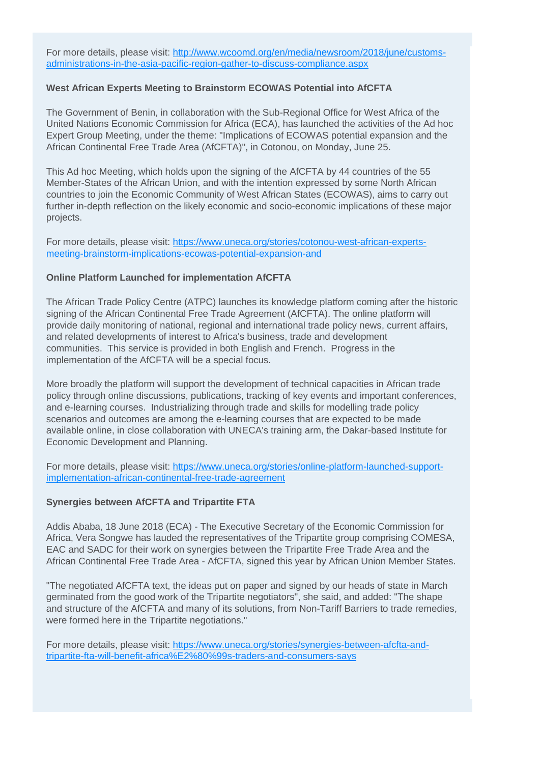For more details, please visit: [http://www.wcoomd.org/en/media/newsroom/2018/june/customs](http://www.wcoomd.org/en/media/newsroom/2018/june/customs-administrations-in-the-asia-pacific-region-gather-to-discuss-compliance.aspx)[administrations-in-the-asia-pacific-region-gather-to-discuss-compliance.aspx](http://www.wcoomd.org/en/media/newsroom/2018/june/customs-administrations-in-the-asia-pacific-region-gather-to-discuss-compliance.aspx)

### **West African Experts Meeting to Brainstorm ECOWAS Potential into AfCFTA**

The Government of Benin, in collaboration with the Sub-Regional Office for West Africa of the United Nations Economic Commission for Africa (ECA), has launched the activities of the Ad hoc Expert Group Meeting, under the theme: "Implications of ECOWAS potential expansion and the African Continental Free Trade Area (AfCFTA)", in Cotonou, on Monday, June 25.

This Ad hoc Meeting, which holds upon the signing of the AfCFTA by 44 countries of the 55 Member-States of the African Union, and with the intention expressed by some North African countries to join the Economic Community of West African States (ECOWAS), aims to carry out further in-depth reflection on the likely economic and socio-economic implications of these major projects.

For more details, please visit: [https://www.uneca.org/stories/cotonou-west-african-experts](https://www.uneca.org/stories/cotonou-west-african-experts-meeting-brainstorm-implications-ecowas-potential-expansion-and)[meeting-brainstorm-implications-ecowas-potential-expansion-and](https://www.uneca.org/stories/cotonou-west-african-experts-meeting-brainstorm-implications-ecowas-potential-expansion-and)

### **Online Platform Launched for implementation AfCFTA**

The African Trade Policy Centre (ATPC) launches its knowledge platform coming after the historic signing of the African Continental Free Trade Agreement (AfCFTA). The online platform will provide daily monitoring of national, regional and international trade policy news, current affairs, and related developments of interest to Africa's business, trade and development communities. This service is provided in both English and French. Progress in the implementation of the AfCFTA will be a special focus.

More broadly the platform will support the development of technical capacities in African trade policy through online discussions, publications, tracking of key events and important conferences, and e-learning courses. Industrializing through trade and skills for modelling trade policy scenarios and outcomes are among the e-learning courses that are expected to be made available online, in close collaboration with UNECA's training arm, the Dakar-based Institute for Economic Development and Planning.

For more details, please visit: [https://www.uneca.org/stories/online-platform-launched-support](https://www.uneca.org/stories/online-platform-launched-support-implementation-african-continental-free-trade-agreement)[implementation-african-continental-free-trade-agreement](https://www.uneca.org/stories/online-platform-launched-support-implementation-african-continental-free-trade-agreement)

#### **Synergies between AfCFTA and Tripartite FTA**

Addis Ababa, 18 June 2018 (ECA) - The Executive Secretary of the Economic Commission for Africa, Vera Songwe has lauded the representatives of the Tripartite group comprising COMESA, EAC and SADC for their work on synergies between the Tripartite Free Trade Area and the African Continental Free Trade Area - AfCFTA, signed this year by African Union Member States.

"The negotiated AfCFTA text, the ideas put on paper and signed by our heads of state in March germinated from the good work of the Tripartite negotiators", she said, and added: "The shape and structure of the AfCFTA and many of its solutions, from Non-Tariff Barriers to trade remedies, were formed here in the Tripartite negotiations."

For more details, please visit: [https://www.uneca.org/stories/synergies-between-afcfta-and](https://www.uneca.org/stories/synergies-between-afcfta-and-tripartite-fta-will-benefit-africa%E2%80%99s-traders-and-consumers-says)[tripartite-fta-will-benefit-africa%E2%80%99s-traders-and-consumers-says](https://www.uneca.org/stories/synergies-between-afcfta-and-tripartite-fta-will-benefit-africa%E2%80%99s-traders-and-consumers-says)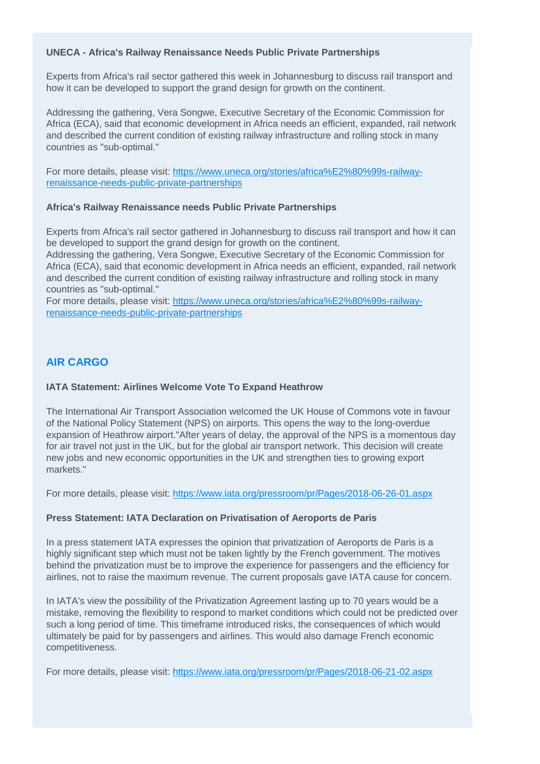## **UNECA - Africa's Railway Renaissance Needs Public Private Partnerships**

Experts from Africa's rail sector gathered this week in Johannesburg to discuss rail transport and how it can be developed to support the grand design for growth on the continent.

Addressing the gathering, Vera Songwe, Executive Secretary of the Economic Commission for Africa (ECA), said that economic development in Africa needs an efficient, expanded, rail network and described the current condition of existing railway infrastructure and rolling stock in many countries as "sub-optimal."

For more details, please visit: [https://www.uneca.org/stories/africa%E2%80%99s-railway](https://www.uneca.org/stories/africa%E2%80%99s-railway-renaissance-needs-public-private-partnerships)[renaissance-needs-public-private-partnerships](https://www.uneca.org/stories/africa%E2%80%99s-railway-renaissance-needs-public-private-partnerships)

#### **Africa's Railway Renaissance needs Public Private Partnerships**

Experts from Africa's rail sector gathered in Johannesburg to discuss rail transport and how it can be developed to support the grand design for growth on the continent.

Addressing the gathering, Vera Songwe, Executive Secretary of the Economic Commission for Africa (ECA), said that economic development in Africa needs an efficient, expanded, rail network and described the current condition of existing railway infrastructure and rolling stock in many countries as "sub-optimal."

For more details, please visit: [https://www.uneca.org/stories/africa%E2%80%99s-railway](https://www.uneca.org/stories/africa%E2%80%99s-railway-renaissance-needs-public-private-partnerships)[renaissance-needs-public-private-partnerships](https://www.uneca.org/stories/africa%E2%80%99s-railway-renaissance-needs-public-private-partnerships)

# **AIR CARGO**

## **IATA Statement: Airlines Welcome Vote To Expand Heathrow**

The International Air Transport Association welcomed the UK House of Commons vote in favour of the National Policy Statement (NPS) on airports. This opens the way to the long-overdue expansion of Heathrow airport."After years of delay, the approval of the NPS is a momentous day for air travel not just in the UK, but for the global air transport network. This decision will create new jobs and new economic opportunities in the UK and strengthen ties to growing export markets."

For more details, please visit:<https://www.iata.org/pressroom/pr/Pages/2018-06-26-01.aspx>

#### **Press Statement: IATA Declaration on Privatisation of Aeroports de Paris**

In a press statement IATA expresses the opinion that privatization of Aeroports de Paris is a highly significant step which must not be taken lightly by the French government. The motives behind the privatization must be to improve the experience for passengers and the efficiency for airlines, not to raise the maximum revenue. The current proposals gave IATA cause for concern.

In IATA's view the possibility of the Privatization Agreement lasting up to 70 years would be a mistake, removing the flexibility to respond to market conditions which could not be predicted over such a long period of time. This timeframe introduced risks, the consequences of which would ultimately be paid for by passengers and airlines. This would also damage French economic competitiveness.

For more details, please visit:<https://www.iata.org/pressroom/pr/Pages/2018-06-21-02.aspx>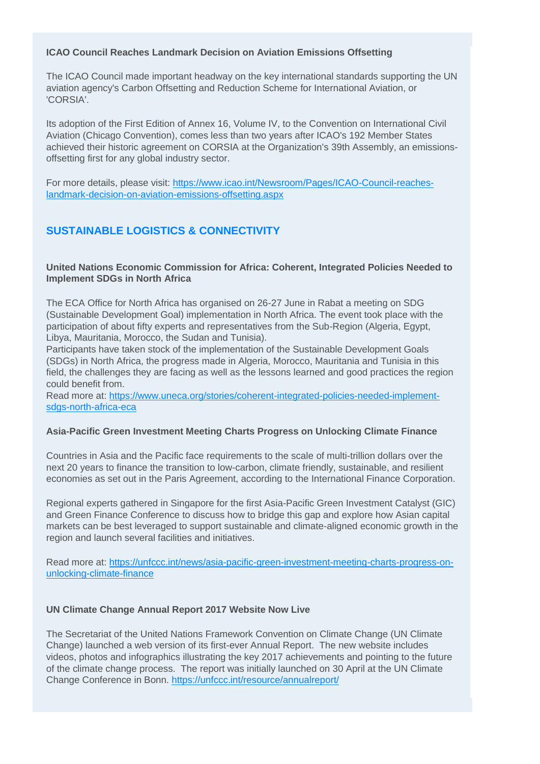### **ICAO Council Reaches Landmark Decision on Aviation Emissions Offsetting**

The ICAO Council made important headway on the key international standards supporting the UN aviation agency's Carbon Offsetting and Reduction Scheme for International Aviation, or 'CORSIA'.

Its adoption of the First Edition of Annex 16, Volume IV, to the Convention on International Civil Aviation (Chicago Convention), comes less than two years after ICAO's 192 Member States achieved their historic agreement on CORSIA at the Organization's 39th Assembly, an emissionsoffsetting first for any global industry sector.

For more details, please visit: [https://www.icao.int/Newsroom/Pages/ICAO-Council-reaches](https://www.icao.int/Newsroom/Pages/ICAO-Council-reaches-landmark-decision-on-aviation-emissions-offsetting.aspx)[landmark-decision-on-aviation-emissions-offsetting.aspx](https://www.icao.int/Newsroom/Pages/ICAO-Council-reaches-landmark-decision-on-aviation-emissions-offsetting.aspx)

# **SUSTAINABLE LOGISTICS & CONNECTIVITY**

### **United Nations Economic Commission for Africa: Coherent, Integrated Policies Needed to Implement SDGs in North Africa**

The ECA Office for North Africa has organised on 26-27 June in Rabat a meeting on SDG (Sustainable Development Goal) implementation in North Africa. The event took place with the participation of about fifty experts and representatives from the Sub-Region (Algeria, Egypt, Libya, Mauritania, Morocco, the Sudan and Tunisia).

Participants have taken stock of the implementation of the Sustainable Development Goals (SDGs) in North Africa, the progress made in Algeria, Morocco, Mauritania and Tunisia in this field, the challenges they are facing as well as the lessons learned and good practices the region could benefit from.

Read more at: [https://www.uneca.org/stories/coherent-integrated-policies-needed-implement](https://www.uneca.org/stories/coherent-integrated-policies-needed-implement-sdgs-north-africa-eca)[sdgs-north-africa-eca](https://www.uneca.org/stories/coherent-integrated-policies-needed-implement-sdgs-north-africa-eca)

# **Asia-Pacific Green Investment Meeting Charts Progress on Unlocking Climate Finance**

Countries in Asia and the Pacific face requirements to the scale of multi-trillion dollars over the next 20 years to finance the transition to low-carbon, climate friendly, sustainable, and resilient economies as set out in the Paris Agreement, according to the International Finance Corporation.

Regional experts gathered in Singapore for the first Asia-Pacific Green Investment Catalyst (GIC) and Green Finance Conference to discuss how to bridge this gap and explore how Asian capital markets can be best leveraged to support sustainable and climate-aligned economic growth in the region and launch several facilities and initiatives.

Read more at: [https://unfccc.int/news/asia-pacific-green-investment-meeting-charts-progress-on](https://unfccc.int/news/asia-pacific-green-investment-meeting-charts-progress-on-unlocking-climate-finance)[unlocking-climate-finance](https://unfccc.int/news/asia-pacific-green-investment-meeting-charts-progress-on-unlocking-climate-finance)

# **UN Climate Change Annual Report 2017 Website Now Live**

The Secretariat of the United Nations Framework Convention on Climate Change (UN Climate Change) launched a web version of its first-ever Annual Report. The new website includes videos, photos and infographics illustrating the key 2017 achievements and pointing to the future of the climate change process. The report was initially launched on 30 April at the UN Climate Change Conference in Bonn. <https://unfccc.int/resource/annualreport/>